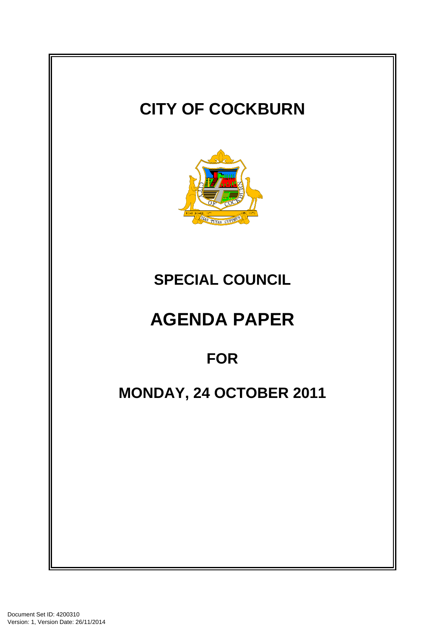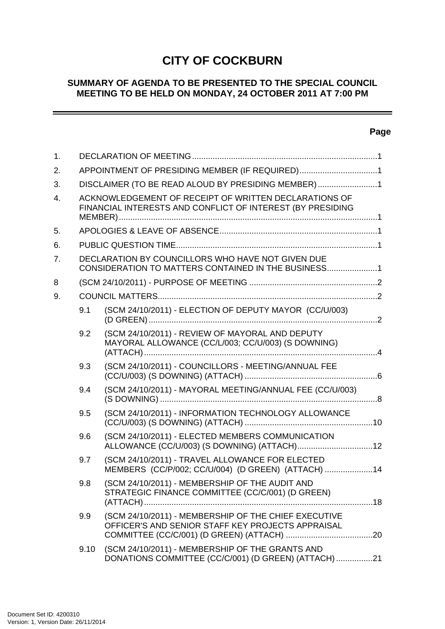# **CITY OF COCKBURN**

## **SUMMARY OF AGENDA TO BE PRESENTED TO THE SPECIAL COUNCIL MEETING TO BE HELD ON MONDAY, 24 OCTOBER 2011 AT 7:00 PM**

## **Page**

-

| 1.               |                                                                                                                     |                                                                                                           |  |  |  |
|------------------|---------------------------------------------------------------------------------------------------------------------|-----------------------------------------------------------------------------------------------------------|--|--|--|
| 2.               | APPOINTMENT OF PRESIDING MEMBER (IF REQUIRED)1                                                                      |                                                                                                           |  |  |  |
| 3.               | DISCLAIMER (TO BE READ ALOUD BY PRESIDING MEMBER)1                                                                  |                                                                                                           |  |  |  |
| $\overline{4}$ . | ACKNOWLEDGEMENT OF RECEIPT OF WRITTEN DECLARATIONS OF<br>FINANCIAL INTERESTS AND CONFLICT OF INTEREST (BY PRESIDING |                                                                                                           |  |  |  |
| 5.               |                                                                                                                     |                                                                                                           |  |  |  |
| 6.               |                                                                                                                     |                                                                                                           |  |  |  |
| 7.               | DECLARATION BY COUNCILLORS WHO HAVE NOT GIVEN DUE<br>CONSIDERATION TO MATTERS CONTAINED IN THE BUSINESS1            |                                                                                                           |  |  |  |
| 8                |                                                                                                                     |                                                                                                           |  |  |  |
| 9.               |                                                                                                                     |                                                                                                           |  |  |  |
|                  | 9.1                                                                                                                 | (SCM 24/10/2011) - ELECTION OF DEPUTY MAYOR (CC/U/003)                                                    |  |  |  |
|                  | 9.2                                                                                                                 | (SCM 24/10/2011) - REVIEW OF MAYORAL AND DEPUTY<br>MAYORAL ALLOWANCE (CC/L/003; CC/U/003) (S DOWNING)     |  |  |  |
|                  | 9.3                                                                                                                 | (SCM 24/10/2011) - COUNCILLORS - MEETING/ANNUAL FEE                                                       |  |  |  |
|                  | 9.4                                                                                                                 | (SCM 24/10/2011) - MAYORAL MEETING/ANNUAL FEE (CC/U/003)                                                  |  |  |  |
|                  | 9.5                                                                                                                 | (SCM 24/10/2011) - INFORMATION TECHNOLOGY ALLOWANCE                                                       |  |  |  |
|                  | 9.6                                                                                                                 | (SCM 24/10/2011) - ELECTED MEMBERS COMMUNICATION                                                          |  |  |  |
|                  | 9.7                                                                                                                 | (SCM 24/10/2011) - TRAVEL ALLOWANCE FOR ELECTED<br>MEMBERS (CC/P/002; CC/U/004) (D GREEN) (ATTACH) 14     |  |  |  |
|                  | 9.8                                                                                                                 | (SCM 24/10/2011) - MEMBERSHIP OF THE AUDIT AND<br>STRATEGIC FINANCE COMMITTEE (CC/C/001) (D GREEN)        |  |  |  |
|                  | 9.9                                                                                                                 | (SCM 24/10/2011) - MEMBERSHIP OF THE CHIEF EXECUTIVE<br>OFFICER'S AND SENIOR STAFF KEY PROJECTS APPRAISAL |  |  |  |
|                  | 9.10                                                                                                                | (SCM 24/10/2011) - MEMBERSHIP OF THE GRANTS AND<br>DONATIONS COMMITTEE (CC/C/001) (D GREEN) (ATTACH) 21   |  |  |  |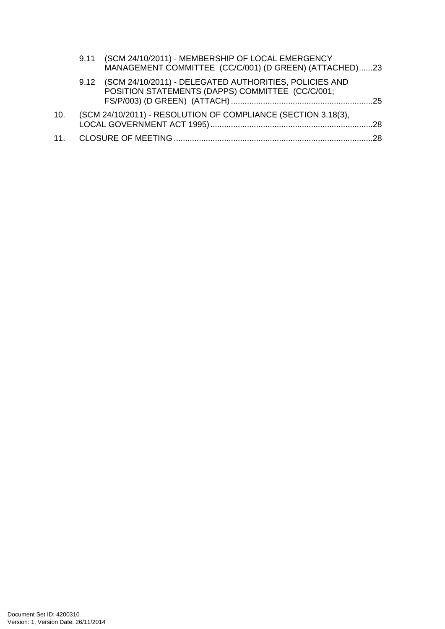|     | 9.11 (SCM 24/10/2011) - MEMBERSHIP OF LOCAL EMERGENCY<br>MANAGEMENT COMMITTEE (CC/C/001) (D GREEN) (ATTACHED)23 |  |
|-----|-----------------------------------------------------------------------------------------------------------------|--|
|     | 9.12 (SCM 24/10/2011) - DELEGATED AUTHORITIES, POLICIES AND<br>POSITION STATEMENTS (DAPPS) COMMITTEE (CC/C/001; |  |
| 10. | (SCM 24/10/2011) - RESOLUTION OF COMPLIANCE (SECTION 3.18(3),                                                   |  |
|     |                                                                                                                 |  |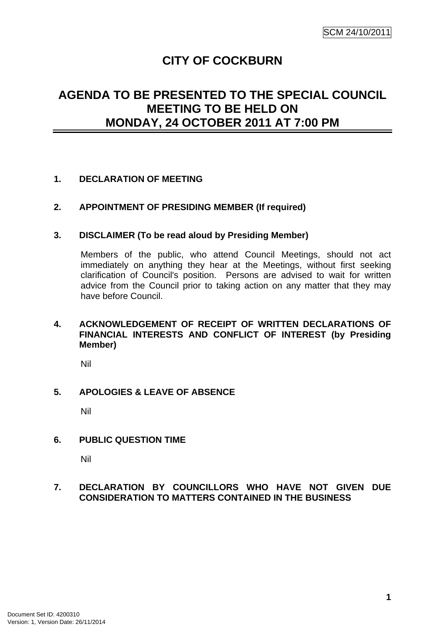# **CITY OF COCKBURN**

# **AGENDA TO BE PRESENTED TO THE SPECIAL COUNCIL MEETING TO BE HELD ON MONDAY, 24 OCTOBER 2011 AT 7:00 PM**

## **1. DECLARATION OF MEETING**

## **2. APPOINTMENT OF PRESIDING MEMBER (If required)**

#### **3. DISCLAIMER (To be read aloud by Presiding Member)**

Members of the public, who attend Council Meetings, should not act immediately on anything they hear at the Meetings, without first seeking clarification of Council's position. Persons are advised to wait for written advice from the Council prior to taking action on any matter that they may have before Council.

## **4. ACKNOWLEDGEMENT OF RECEIPT OF WRITTEN DECLARATIONS OF FINANCIAL INTERESTS AND CONFLICT OF INTEREST (by Presiding Member)**

Nil

#### **5. APOLOGIES & LEAVE OF ABSENCE**

Nil

#### **6. PUBLIC QUESTION TIME**

Nil

#### **7. DECLARATION BY COUNCILLORS WHO HAVE NOT GIVEN DUE CONSIDERATION TO MATTERS CONTAINED IN THE BUSINESS**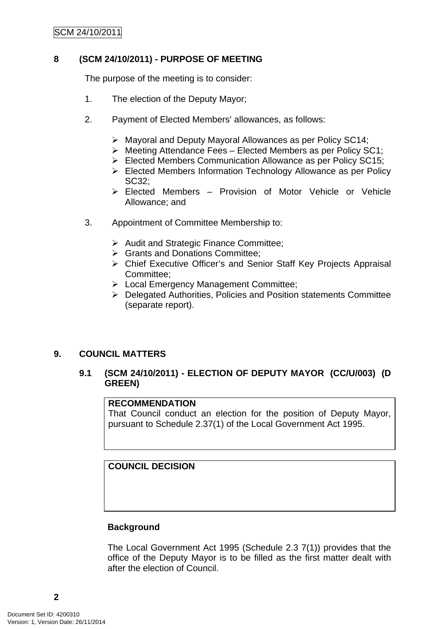## **8 (SCM 24/10/2011) - PURPOSE OF MEETING**

The purpose of the meeting is to consider:

- 1. The election of the Deputy Mayor;
- 2. Payment of Elected Members' allowances, as follows:
	- ¾ Mayoral and Deputy Mayoral Allowances as per Policy SC14;
	- ¾ Meeting Attendance Fees Elected Members as per Policy SC1;
	- ¾ Elected Members Communication Allowance as per Policy SC15;
	- ¾ Elected Members Information Technology Allowance as per Policy SC32;
	- ¾ Elected Members Provision of Motor Vehicle or Vehicle Allowance; and
- 3. Appointment of Committee Membership to:
	- ¾ Audit and Strategic Finance Committee;
	- $\triangleright$  Grants and Donations Committee:
	- ¾ Chief Executive Officer's and Senior Staff Key Projects Appraisal Committee;
	- ¾ Local Emergency Management Committee;
	- ¾ Delegated Authorities, Policies and Position statements Committee (separate report).

## **9. COUNCIL MATTERS**

#### **9.1 (SCM 24/10/2011) - ELECTION OF DEPUTY MAYOR (CC/U/003) (D GREEN)**

#### **RECOMMENDATION**

That Council conduct an election for the position of Deputy Mayor, pursuant to Schedule 2.37(1) of the Local Government Act 1995.

**COUNCIL DECISION**

## **Background**

The Local Government Act 1995 (Schedule 2.3 7(1)) provides that the office of the Deputy Mayor is to be filled as the first matter dealt with after the election of Council.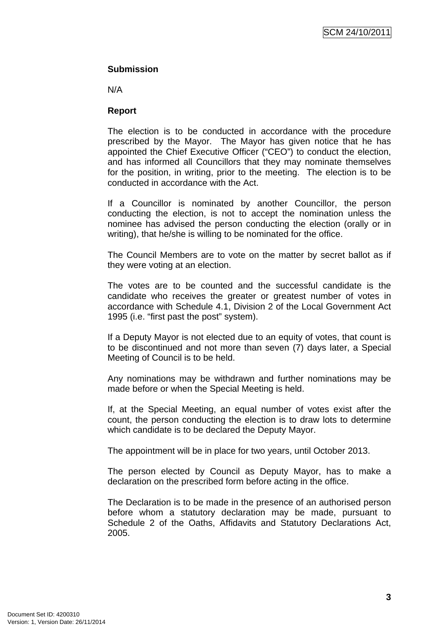## **Submission**

N/A

## **Report**

The election is to be conducted in accordance with the procedure prescribed by the Mayor. The Mayor has given notice that he has appointed the Chief Executive Officer ("CEO") to conduct the election, and has informed all Councillors that they may nominate themselves for the position, in writing, prior to the meeting. The election is to be conducted in accordance with the Act.

If a Councillor is nominated by another Councillor, the person conducting the election, is not to accept the nomination unless the nominee has advised the person conducting the election (orally or in writing), that he/she is willing to be nominated for the office.

The Council Members are to vote on the matter by secret ballot as if they were voting at an election.

The votes are to be counted and the successful candidate is the candidate who receives the greater or greatest number of votes in accordance with Schedule 4.1, Division 2 of the Local Government Act 1995 (i.e. "first past the post" system).

If a Deputy Mayor is not elected due to an equity of votes, that count is to be discontinued and not more than seven (7) days later, a Special Meeting of Council is to be held.

Any nominations may be withdrawn and further nominations may be made before or when the Special Meeting is held.

If, at the Special Meeting, an equal number of votes exist after the count, the person conducting the election is to draw lots to determine which candidate is to be declared the Deputy Mayor.

The appointment will be in place for two years, until October 2013.

The person elected by Council as Deputy Mayor, has to make a declaration on the prescribed form before acting in the office.

The Declaration is to be made in the presence of an authorised person before whom a statutory declaration may be made, pursuant to Schedule 2 of the Oaths, Affidavits and Statutory Declarations Act, 2005.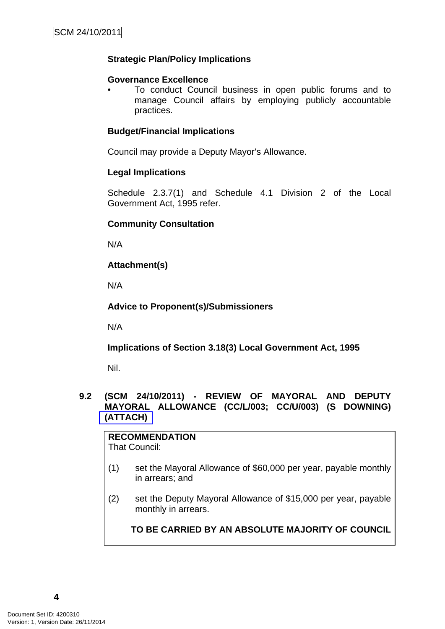## **Strategic Plan/Policy Implications**

#### **Governance Excellence**

• To conduct Council business in open public forums and to manage Council affairs by employing publicly accountable practices.

#### **Budget/Financial Implications**

Council may provide a Deputy Mayor's Allowance.

#### **Legal Implications**

Schedule 2.3.7(1) and Schedule 4.1 Division 2 of the Local Government Act, 1995 refer.

#### **Community Consultation**

N/A

**Attachment(s)**

N/A

#### **Advice to Proponent(s)/Submissioners**

N/A

**Implications of Section 3.18(3) Local Government Act, 1995**

Nil.

## **9.2 (SCM 24/10/2011) - REVIEW OF MAYORAL AND DEPUTY MAYORAL ALLOWANCE (CC/L/003; CC/U/003) (S DOWNING) (ATTACH)**

**RECOMMENDATION** That Council:

- (1) set the Mayoral Allowance of \$60,000 per year, payable monthly in arrears; and
- (2) set the Deputy Mayoral Allowance of \$15,000 per year, payable monthly in arrears.

**TO BE CARRIED BY AN ABSOLUTE MAJORITY OF COUNCIL**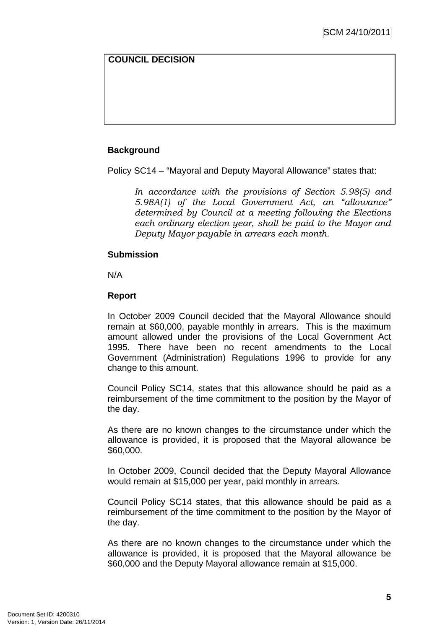## **COUNCIL DECISION**

## **Background**

Policy SC14 – "Mayoral and Deputy Mayoral Allowance" states that:

*In accordance with the provisions of Section 5.98(5) and 5.98A(1) of the Local Government Act, an "allowance" determined by Council at a meeting following the Elections each ordinary election year, shall be paid to the Mayor and Deputy Mayor payable in arrears each month.*

#### **Submission**

N/A

#### **Report**

In October 2009 Council decided that the Mayoral Allowance should remain at \$60,000, payable monthly in arrears. This is the maximum amount allowed under the provisions of the Local Government Act 1995. There have been no recent amendments to the Local Government (Administration) Regulations 1996 to provide for any change to this amount.

Council Policy SC14, states that this allowance should be paid as a reimbursement of the time commitment to the position by the Mayor of the day.

As there are no known changes to the circumstance under which the allowance is provided, it is proposed that the Mayoral allowance be \$60,000.

In October 2009, Council decided that the Deputy Mayoral Allowance would remain at \$15,000 per year, paid monthly in arrears.

Council Policy SC14 states, that this allowance should be paid as a reimbursement of the time commitment to the position by the Mayor of the day.

As there are no known changes to the circumstance under which the allowance is provided, it is proposed that the Mayoral allowance be \$60,000 and the Deputy Mayoral allowance remain at \$15,000.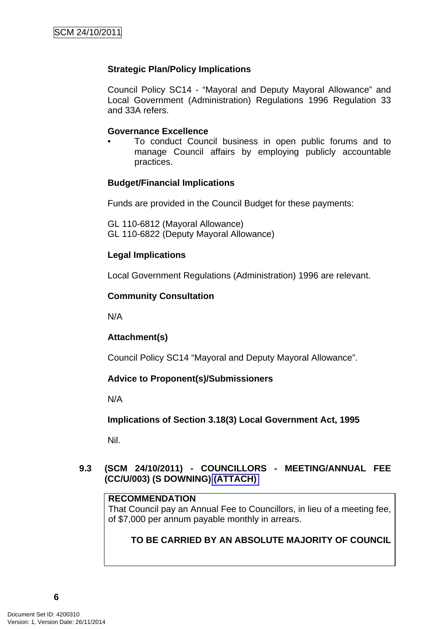## **Strategic Plan/Policy Implications**

Council Policy SC14 - "Mayoral and Deputy Mayoral Allowance" and Local Government (Administration) Regulations 1996 Regulation 33 and 33A refers.

#### **Governance Excellence**

• To conduct Council business in open public forums and to manage Council affairs by employing publicly accountable practices.

#### **Budget/Financial Implications**

Funds are provided in the Council Budget for these payments:

GL 110-6812 (Mayoral Allowance) GL 110-6822 (Deputy Mayoral Allowance)

#### **Legal Implications**

Local Government Regulations (Administration) 1996 are relevant.

#### **Community Consultation**

N/A

## **Attachment(s)**

Council Policy SC14 "Mayoral and Deputy Mayoral Allowance".

#### **Advice to Proponent(s)/Submissioners**

N/A

**Implications of Section 3.18(3) Local Government Act, 1995**

Nil.

## **9.3 (SCM 24/10/2011) - COUNCILLORS - MEETING/ANNUAL FEE (CC/U/003) (S DOWNING) (ATTACH)**

#### **RECOMMENDATION**

That Council pay an Annual Fee to Councillors, in lieu of a meeting fee, of \$7,000 per annum payable monthly in arrears.

**TO BE CARRIED BY AN ABSOLUTE MAJORITY OF COUNCIL**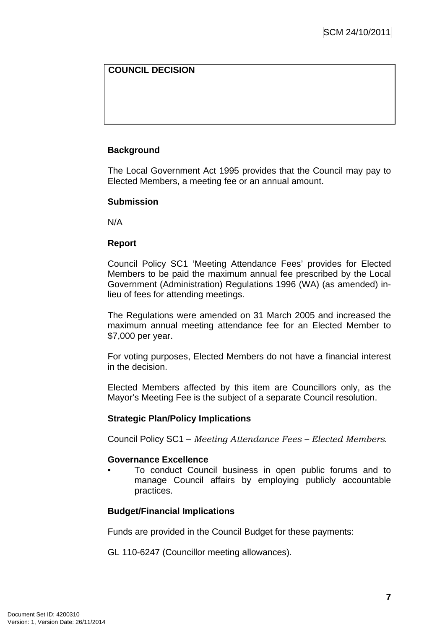## **COUNCIL DECISION**

## **Background**

The Local Government Act 1995 provides that the Council may pay to Elected Members, a meeting fee or an annual amount.

#### **Submission**

N/A

#### **Report**

Council Policy SC1 'Meeting Attendance Fees' provides for Elected Members to be paid the maximum annual fee prescribed by the Local Government (Administration) Regulations 1996 (WA) (as amended) inlieu of fees for attending meetings.

The Regulations were amended on 31 March 2005 and increased the maximum annual meeting attendance fee for an Elected Member to \$7,000 per year.

For voting purposes, Elected Members do not have a financial interest in the decision.

Elected Members affected by this item are Councillors only, as the Mayor's Meeting Fee is the subject of a separate Council resolution.

#### **Strategic Plan/Policy Implications**

Council Policy SC1 – *Meeting Attendance Fees – Elected Members*.

#### **Governance Excellence**

• To conduct Council business in open public forums and to manage Council affairs by employing publicly accountable practices.

#### **Budget/Financial Implications**

Funds are provided in the Council Budget for these payments:

GL 110-6247 (Councillor meeting allowances).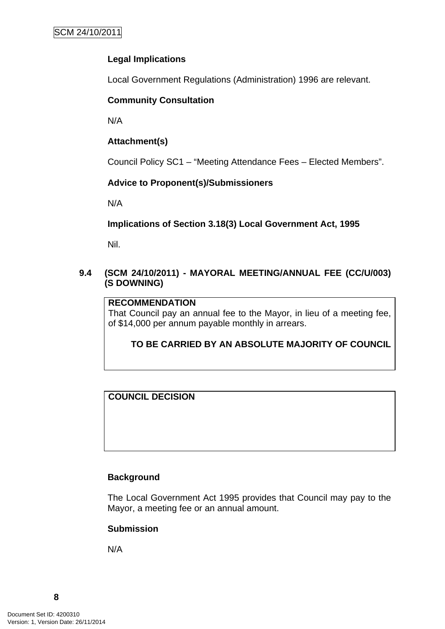## **Legal Implications**

Local Government Regulations (Administration) 1996 are relevant.

#### **Community Consultation**

N/A

## **Attachment(s)**

Council Policy SC1 – "Meeting Attendance Fees – Elected Members".

## **Advice to Proponent(s)/Submissioners**

N/A

## **Implications of Section 3.18(3) Local Government Act, 1995**

Nil.

#### **9.4 (SCM 24/10/2011) - MAYORAL MEETING/ANNUAL FEE (CC/U/003) (S DOWNING)**

## **RECOMMENDATION**

That Council pay an annual fee to the Mayor, in lieu of a meeting fee, of \$14,000 per annum payable monthly in arrears.

#### **TO BE CARRIED BY AN ABSOLUTE MAJORITY OF COUNCIL**

## **COUNCIL DECISION**

#### **Background**

The Local Government Act 1995 provides that Council may pay to the Mayor, a meeting fee or an annual amount.

#### **Submission**

N/A

**8**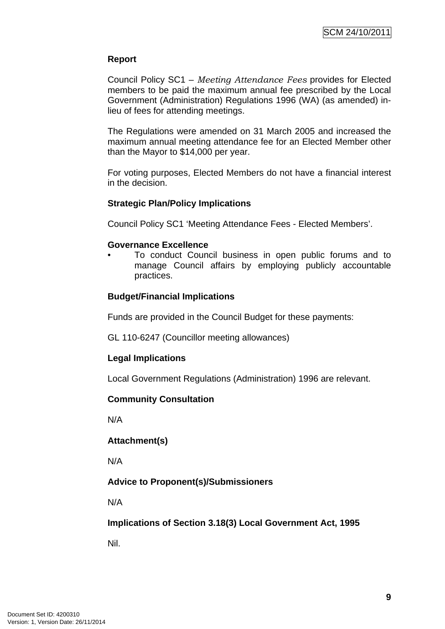## **Report**

Council Policy SC1 – *Meeting Attendance Fees* provides for Elected members to be paid the maximum annual fee prescribed by the Local Government (Administration) Regulations 1996 (WA) (as amended) inlieu of fees for attending meetings.

The Regulations were amended on 31 March 2005 and increased the maximum annual meeting attendance fee for an Elected Member other than the Mayor to \$14,000 per year.

For voting purposes, Elected Members do not have a financial interest in the decision.

#### **Strategic Plan/Policy Implications**

Council Policy SC1 'Meeting Attendance Fees - Elected Members'.

#### **Governance Excellence**

• To conduct Council business in open public forums and to manage Council affairs by employing publicly accountable practices.

#### **Budget/Financial Implications**

Funds are provided in the Council Budget for these payments:

GL 110-6247 (Councillor meeting allowances)

#### **Legal Implications**

Local Government Regulations (Administration) 1996 are relevant.

#### **Community Consultation**

N/A

**Attachment(s)**

N/A

#### **Advice to Proponent(s)/Submissioners**

N/A

**Implications of Section 3.18(3) Local Government Act, 1995**

Nil.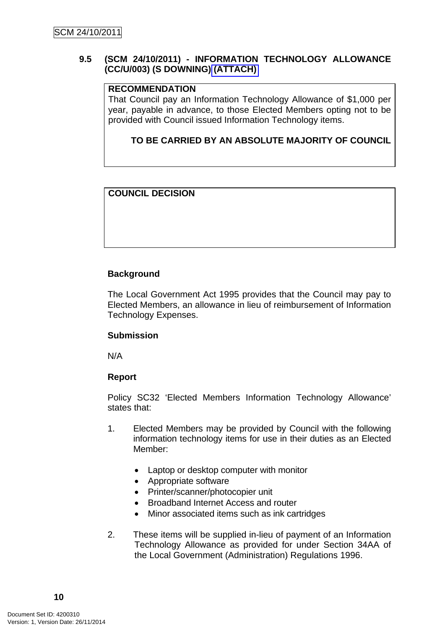## **9.5 (SCM 24/10/2011) - INFORMATION TECHNOLOGY ALLOWANCE (CC/U/003) (S DOWNING) (ATTACH)**

## **RECOMMENDATION**

That Council pay an Information Technology Allowance of \$1,000 per year, payable in advance, to those Elected Members opting not to be provided with Council issued Information Technology items.

## **TO BE CARRIED BY AN ABSOLUTE MAJORITY OF COUNCIL**

## **COUNCIL DECISION**

## **Background**

The Local Government Act 1995 provides that the Council may pay to Elected Members, an allowance in lieu of reimbursement of Information Technology Expenses.

#### **Submission**

N/A

#### **Report**

Policy SC32 'Elected Members Information Technology Allowance' states that:

- 1. Elected Members may be provided by Council with the following information technology items for use in their duties as an Elected Member:
	- Laptop or desktop computer with monitor
	- Appropriate software
	- Printer/scanner/photocopier unit
	- Broadband Internet Access and router
	- Minor associated items such as ink cartridges
- 2. These items will be supplied in-lieu of payment of an Information Technology Allowance as provided for under Section 34AA of the Local Government (Administration) Regulations 1996.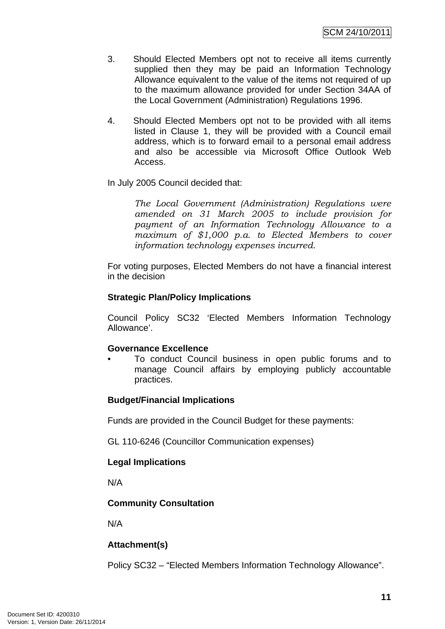- 3. Should Elected Members opt not to receive all items currently supplied then they may be paid an Information Technology Allowance equivalent to the value of the items not required of up to the maximum allowance provided for under Section 34AA of the Local Government (Administration) Regulations 1996.
- 4. Should Elected Members opt not to be provided with all items listed in Clause 1, they will be provided with a Council email address, which is to forward email to a personal email address and also be accessible via Microsoft Office Outlook Web Access.

In July 2005 Council decided that:

*The Local Government (Administration) Regulations were amended on 31 March 2005 to include provision for payment of an Information Technology Allowance to a maximum of \$1,000 p.a. to Elected Members to cover information technology expenses incurred.* 

For voting purposes, Elected Members do not have a financial interest in the decision

## **Strategic Plan/Policy Implications**

Council Policy SC32 'Elected Members Information Technology Allowance'.

#### **Governance Excellence**

• To conduct Council business in open public forums and to manage Council affairs by employing publicly accountable practices.

#### **Budget/Financial Implications**

Funds are provided in the Council Budget for these payments:

GL 110-6246 (Councillor Communication expenses)

#### **Legal Implications**

N/A

## **Community Consultation**

N/A

## **Attachment(s)**

Policy SC32 – "Elected Members Information Technology Allowance".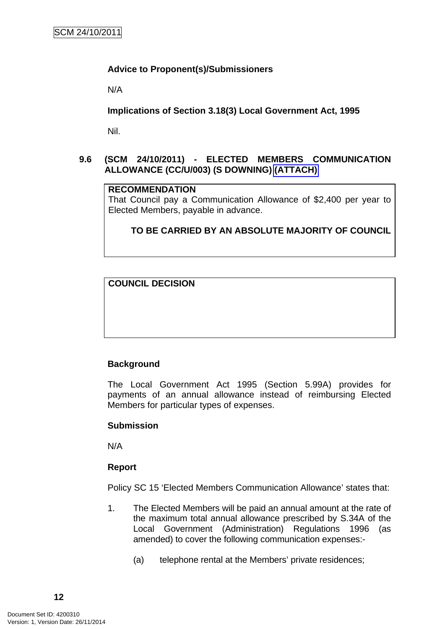## **Advice to Proponent(s)/Submissioners**

N/A

**Implications of Section 3.18(3) Local Government Act, 1995**

Nil.

## **9.6 (SCM 24/10/2011) - ELECTED MEMBERS COMMUNICATION ALLOWANCE (CC/U/003) (S DOWNING) (ATTACH)**

#### **RECOMMENDATION**

That Council pay a Communication Allowance of \$2,400 per year to Elected Members, payable in advance.

## **TO BE CARRIED BY AN ABSOLUTE MAJORITY OF COUNCIL**

**COUNCIL DECISION**

## **Background**

The Local Government Act 1995 (Section 5.99A) provides for payments of an annual allowance instead of reimbursing Elected Members for particular types of expenses.

#### **Submission**

N/A

#### **Report**

Policy SC 15 'Elected Members Communication Allowance' states that:

- 1. The Elected Members will be paid an annual amount at the rate of the maximum total annual allowance prescribed by S.34A of the Local Government (Administration) Regulations 1996 (as amended) to cover the following communication expenses:-
	- (a) telephone rental at the Members' private residences;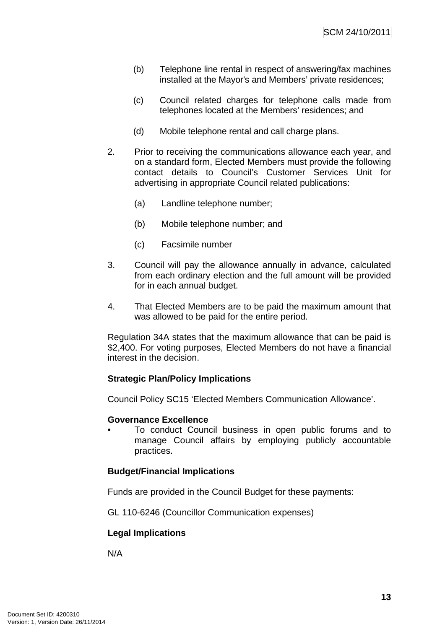- (b) Telephone line rental in respect of answering/fax machines installed at the Mayor's and Members' private residences;
- (c) Council related charges for telephone calls made from telephones located at the Members' residences; and
- (d) Mobile telephone rental and call charge plans.
- 2. Prior to receiving the communications allowance each year, and on a standard form, Elected Members must provide the following contact details to Council's Customer Services Unit for advertising in appropriate Council related publications:
	- (a) Landline telephone number;
	- (b) Mobile telephone number; and
	- (c) Facsimile number
- 3. Council will pay the allowance annually in advance, calculated from each ordinary election and the full amount will be provided for in each annual budget.
- 4. That Elected Members are to be paid the maximum amount that was allowed to be paid for the entire period.

Regulation 34A states that the maximum allowance that can be paid is \$2,400. For voting purposes, Elected Members do not have a financial interest in the decision.

## **Strategic Plan/Policy Implications**

Council Policy SC15 'Elected Members Communication Allowance'.

#### **Governance Excellence**

• To conduct Council business in open public forums and to manage Council affairs by employing publicly accountable practices.

#### **Budget/Financial Implications**

Funds are provided in the Council Budget for these payments:

GL 110-6246 (Councillor Communication expenses)

## **Legal Implications**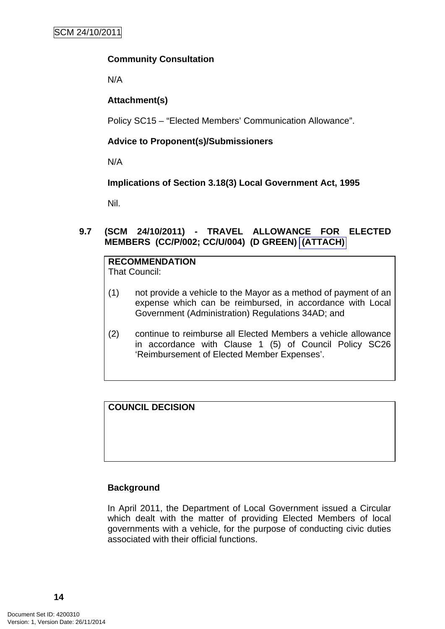## **Community Consultation**

N/A

## **Attachment(s)**

Policy SC15 – "Elected Members' Communication Allowance".

## **Advice to Proponent(s)/Submissioners**

N/A

## **Implications of Section 3.18(3) Local Government Act, 1995**

Nil.

## **9.7 (SCM 24/10/2011) - TRAVEL ALLOWANCE FOR ELECTED MEMBERS (CC/P/002; CC/U/004) (D GREEN) (ATTACH)**

# **RECOMMENDATION**

That Council:

- (1) not provide a vehicle to the Mayor as a method of payment of an expense which can be reimbursed, in accordance with Local Government (Administration) Regulations 34AD; and
- (2) continue to reimburse all Elected Members a vehicle allowance in accordance with Clause 1 (5) of Council Policy SC26 'Reimbursement of Elected Member Expenses'.

**COUNCIL DECISION**

#### **Background**

In April 2011, the Department of Local Government issued a Circular which dealt with the matter of providing Elected Members of local governments with a vehicle, for the purpose of conducting civic duties associated with their official functions.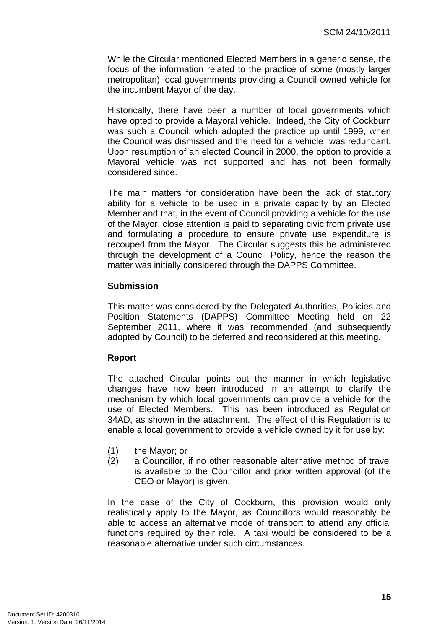While the Circular mentioned Elected Members in a generic sense, the focus of the information related to the practice of some (mostly larger metropolitan) local governments providing a Council owned vehicle for the incumbent Mayor of the day.

Historically, there have been a number of local governments which have opted to provide a Mayoral vehicle. Indeed, the City of Cockburn was such a Council, which adopted the practice up until 1999, when the Council was dismissed and the need for a vehicle was redundant. Upon resumption of an elected Council in 2000, the option to provide a Mayoral vehicle was not supported and has not been formally considered since.

The main matters for consideration have been the lack of statutory ability for a vehicle to be used in a private capacity by an Elected Member and that, in the event of Council providing a vehicle for the use of the Mayor, close attention is paid to separating civic from private use and formulating a procedure to ensure private use expenditure is recouped from the Mayor. The Circular suggests this be administered through the development of a Council Policy, hence the reason the matter was initially considered through the DAPPS Committee.

## **Submission**

This matter was considered by the Delegated Authorities, Policies and Position Statements (DAPPS) Committee Meeting held on 22 September 2011, where it was recommended (and subsequently adopted by Council) to be deferred and reconsidered at this meeting.

## **Report**

The attached Circular points out the manner in which legislative changes have now been introduced in an attempt to clarify the mechanism by which local governments can provide a vehicle for the use of Elected Members. This has been introduced as Regulation 34AD, as shown in the attachment. The effect of this Regulation is to enable a local government to provide a vehicle owned by it for use by:

- (1) the Mayor; or
- (2) a Councillor, if no other reasonable alternative method of travel is available to the Councillor and prior written approval (of the CEO or Mayor) is given.

In the case of the City of Cockburn, this provision would only realistically apply to the Mayor, as Councillors would reasonably be able to access an alternative mode of transport to attend any official functions required by their role. A taxi would be considered to be a reasonable alternative under such circumstances.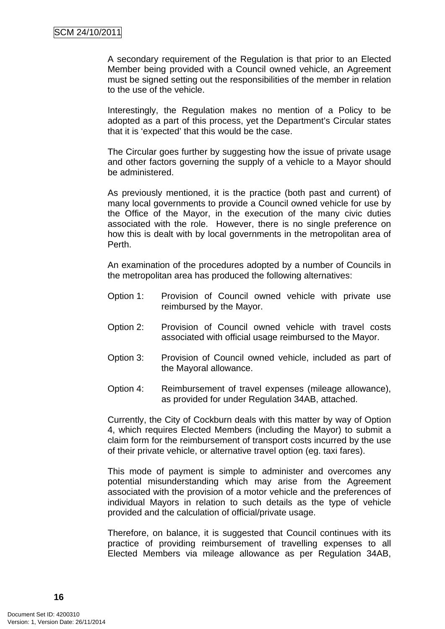A secondary requirement of the Regulation is that prior to an Elected Member being provided with a Council owned vehicle, an Agreement must be signed setting out the responsibilities of the member in relation to the use of the vehicle.

Interestingly, the Regulation makes no mention of a Policy to be adopted as a part of this process, yet the Department's Circular states that it is 'expected' that this would be the case.

The Circular goes further by suggesting how the issue of private usage and other factors governing the supply of a vehicle to a Mayor should be administered.

As previously mentioned, it is the practice (both past and current) of many local governments to provide a Council owned vehicle for use by the Office of the Mayor, in the execution of the many civic duties associated with the role. However, there is no single preference on how this is dealt with by local governments in the metropolitan area of Perth.

An examination of the procedures adopted by a number of Councils in the metropolitan area has produced the following alternatives:

- Option 1: Provision of Council owned vehicle with private use reimbursed by the Mayor.
- Option 2: Provision of Council owned vehicle with travel costs associated with official usage reimbursed to the Mayor.
- Option 3: Provision of Council owned vehicle, included as part of the Mayoral allowance.
- Option 4: Reimbursement of travel expenses (mileage allowance), as provided for under Regulation 34AB, attached.

Currently, the City of Cockburn deals with this matter by way of Option 4, which requires Elected Members (including the Mayor) to submit a claim form for the reimbursement of transport costs incurred by the use of their private vehicle, or alternative travel option (eg. taxi fares).

This mode of payment is simple to administer and overcomes any potential misunderstanding which may arise from the Agreement associated with the provision of a motor vehicle and the preferences of individual Mayors in relation to such details as the type of vehicle provided and the calculation of official/private usage.

Therefore, on balance, it is suggested that Council continues with its practice of providing reimbursement of travelling expenses to all Elected Members via mileage allowance as per Regulation 34AB,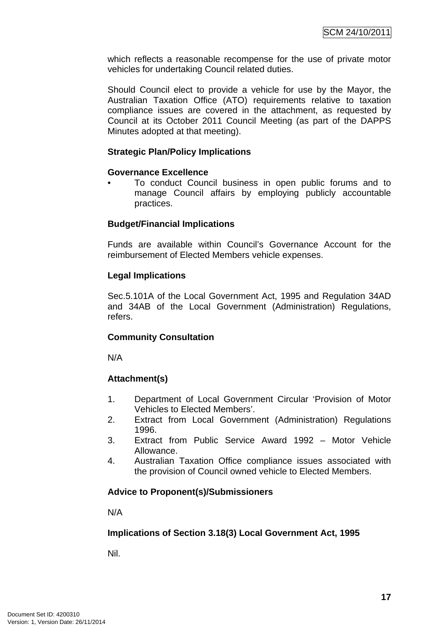which reflects a reasonable recompense for the use of private motor vehicles for undertaking Council related duties.

Should Council elect to provide a vehicle for use by the Mayor, the Australian Taxation Office (ATO) requirements relative to taxation compliance issues are covered in the attachment, as requested by Council at its October 2011 Council Meeting (as part of the DAPPS Minutes adopted at that meeting).

## **Strategic Plan/Policy Implications**

#### **Governance Excellence**

• To conduct Council business in open public forums and to manage Council affairs by employing publicly accountable practices.

#### **Budget/Financial Implications**

Funds are available within Council's Governance Account for the reimbursement of Elected Members vehicle expenses.

#### **Legal Implications**

Sec.5.101A of the Local Government Act, 1995 and Regulation 34AD and 34AB of the Local Government (Administration) Regulations, refers.

## **Community Consultation**

N/A

## **Attachment(s)**

- 1. Department of Local Government Circular 'Provision of Motor Vehicles to Elected Members'.
- 2. Extract from Local Government (Administration) Regulations 1996.
- 3. Extract from Public Service Award 1992 Motor Vehicle Allowance.
- 4. Australian Taxation Office compliance issues associated with the provision of Council owned vehicle to Elected Members.

## **Advice to Proponent(s)/Submissioners**

N/A

## **Implications of Section 3.18(3) Local Government Act, 1995**

Nil.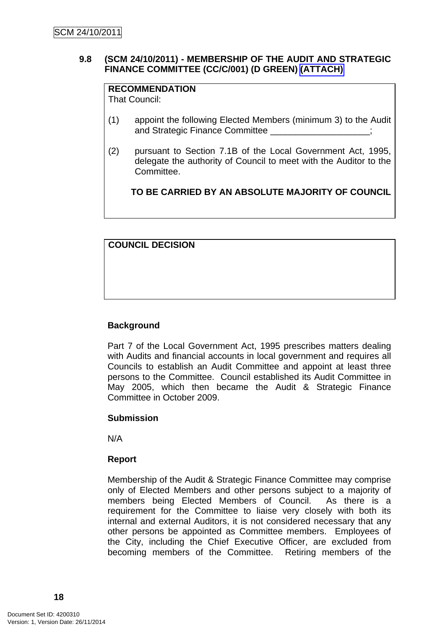#### **9.8 (SCM 24/10/2011) - MEMBERSHIP OF THE AUDIT AND STRATEGIC FINANCE COMMITTEE (CC/C/001) (D GREEN) (ATTACH)**

## **RECOMMENDATION**

That Council:

- (1) appoint the following Elected Members (minimum 3) to the Audit and Strategic Finance Committee **Example 20** and Strategic Finance Committee
- (2) pursuant to Section 7.1B of the Local Government Act, 1995, delegate the authority of Council to meet with the Auditor to the Committee.

**TO BE CARRIED BY AN ABSOLUTE MAJORITY OF COUNCIL**

## **COUNCIL DECISION**

## **Background**

Part 7 of the Local Government Act, 1995 prescribes matters dealing with Audits and financial accounts in local government and requires all Councils to establish an Audit Committee and appoint at least three persons to the Committee. Council established its Audit Committee in May 2005, which then became the Audit & Strategic Finance Committee in October 2009.

## **Submission**

N/A

## **Report**

Membership of the Audit & Strategic Finance Committee may comprise only of Elected Members and other persons subject to a majority of members being Elected Members of Council. As there is a requirement for the Committee to liaise very closely with both its internal and external Auditors, it is not considered necessary that any other persons be appointed as Committee members. Employees of the City, including the Chief Executive Officer, are excluded from becoming members of the Committee. Retiring members of the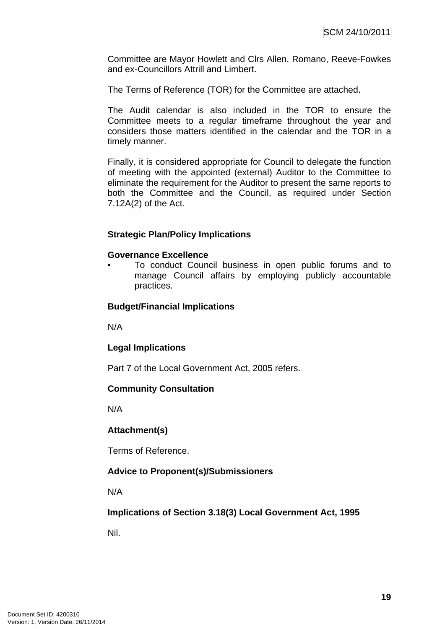Committee are Mayor Howlett and Clrs Allen, Romano, Reeve-Fowkes and ex-Councillors Attrill and Limbert.

The Terms of Reference (TOR) for the Committee are attached.

The Audit calendar is also included in the TOR to ensure the Committee meets to a regular timeframe throughout the year and considers those matters identified in the calendar and the TOR in a timely manner.

Finally, it is considered appropriate for Council to delegate the function of meeting with the appointed (external) Auditor to the Committee to eliminate the requirement for the Auditor to present the same reports to both the Committee and the Council, as required under Section 7.12A(2) of the Act.

#### **Strategic Plan/Policy Implications**

#### **Governance Excellence**

• To conduct Council business in open public forums and to manage Council affairs by employing publicly accountable practices.

#### **Budget/Financial Implications**

N/A

#### **Legal Implications**

Part 7 of the Local Government Act, 2005 refers.

#### **Community Consultation**

N/A

#### **Attachment(s)**

Terms of Reference.

#### **Advice to Proponent(s)/Submissioners**

N/A

#### **Implications of Section 3.18(3) Local Government Act, 1995**

Nil.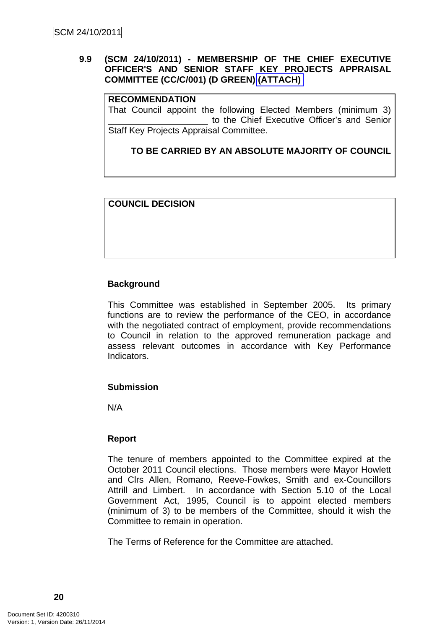## **9.9 (SCM 24/10/2011) - MEMBERSHIP OF THE CHIEF EXECUTIVE OFFICER'S AND SENIOR STAFF KEY PROJECTS APPRAISAL COMMITTEE (CC/C/001) (D GREEN) (ATTACH)**

#### **RECOMMENDATION**

That Council appoint the following Elected Members (minimum 3) to the Chief Executive Officer's and Senior Staff Key Projects Appraisal Committee.

**TO BE CARRIED BY AN ABSOLUTE MAJORITY OF COUNCIL**

#### **COUNCIL DECISION**

## **Background**

This Committee was established in September 2005. Its primary functions are to review the performance of the CEO, in accordance with the negotiated contract of employment, provide recommendations to Council in relation to the approved remuneration package and assess relevant outcomes in accordance with Key Performance Indicators.

#### **Submission**

N/A

#### **Report**

The tenure of members appointed to the Committee expired at the October 2011 Council elections. Those members were Mayor Howlett and Clrs Allen, Romano, Reeve-Fowkes, Smith and ex-Councillors Attrill and Limbert. In accordance with Section 5.10 of the Local Government Act, 1995, Council is to appoint elected members (minimum of 3) to be members of the Committee, should it wish the Committee to remain in operation.

The Terms of Reference for the Committee are attached.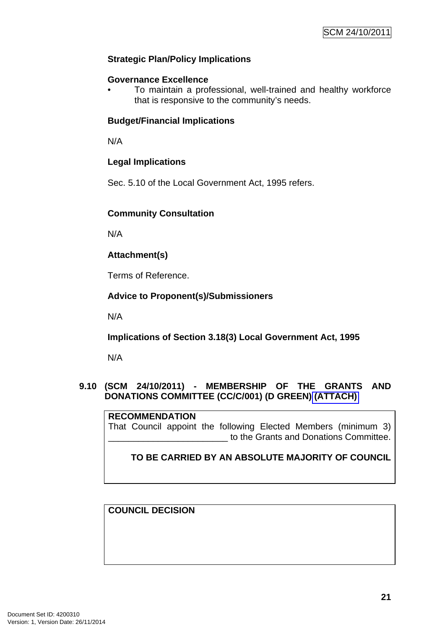## **Strategic Plan/Policy Implications**

#### **Governance Excellence**

• To maintain a professional, well-trained and healthy workforce that is responsive to the community's needs.

## **Budget/Financial Implications**

N/A

## **Legal Implications**

Sec. 5.10 of the Local Government Act, 1995 refers.

## **Community Consultation**

N/A

## **Attachment(s)**

Terms of Reference.

## **Advice to Proponent(s)/Submissioners**

N/A

**Implications of Section 3.18(3) Local Government Act, 1995**

N/A

## **9.10 (SCM 24/10/2011) - MEMBERSHIP OF THE GRANTS AND DONATIONS COMMITTEE (CC/C/001) (D GREEN) (ATTACH)**

## **RECOMMENDATION**

That Council appoint the following Elected Members (minimum 3) to the Grants and Donations Committee.

**TO BE CARRIED BY AN ABSOLUTE MAJORITY OF COUNCIL**

**COUNCIL DECISION**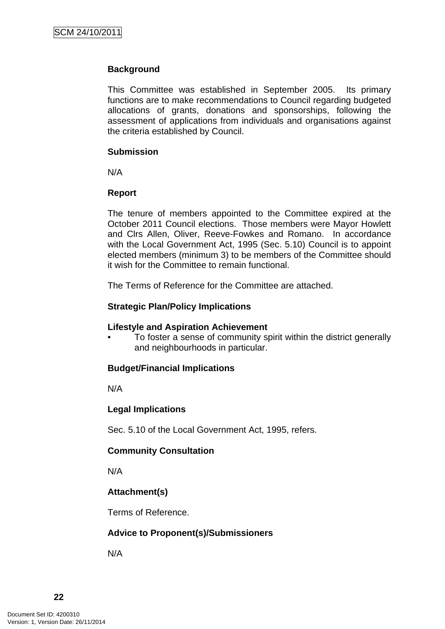## **Background**

This Committee was established in September 2005. Its primary functions are to make recommendations to Council regarding budgeted allocations of grants, donations and sponsorships, following the assessment of applications from individuals and organisations against the criteria established by Council.

## **Submission**

N/A

## **Report**

The tenure of members appointed to the Committee expired at the October 2011 Council elections. Those members were Mayor Howlett and Clrs Allen, Oliver, Reeve-Fowkes and Romano. In accordance with the Local Government Act, 1995 (Sec. 5.10) Council is to appoint elected members (minimum 3) to be members of the Committee should it wish for the Committee to remain functional.

The Terms of Reference for the Committee are attached.

## **Strategic Plan/Policy Implications**

#### **Lifestyle and Aspiration Achievement**

• To foster a sense of community spirit within the district generally and neighbourhoods in particular.

## **Budget/Financial Implications**

N/A

## **Legal Implications**

Sec. 5.10 of the Local Government Act, 1995, refers.

## **Community Consultation**

N/A

## **Attachment(s)**

Terms of Reference.

## **Advice to Proponent(s)/Submissioners**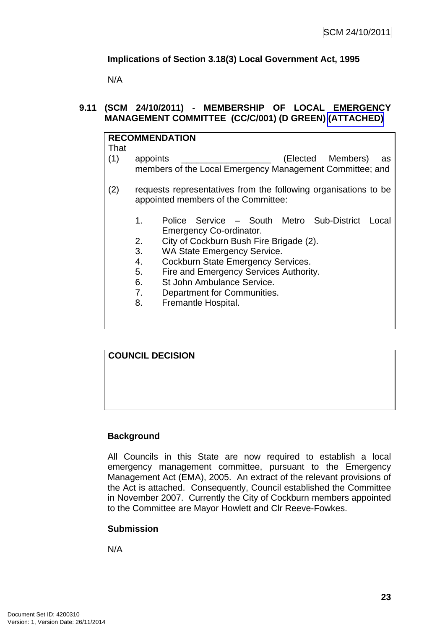## **Implications of Section 3.18(3) Local Government Act, 1995**

N/A

## **9.11 (SCM 24/10/2011) - MEMBERSHIP OF LOCAL EMERGENCY MANAGEMENT COMMITTEE (CC/C/001) (D GREEN) (ATTACHED)**

| <b>RECOMMENDATION</b> |                                                                                                        |                                                                                      |  |  |  |  |  |
|-----------------------|--------------------------------------------------------------------------------------------------------|--------------------------------------------------------------------------------------|--|--|--|--|--|
| That                  |                                                                                                        |                                                                                      |  |  |  |  |  |
| (1)                   | (Elected Members)<br>appoints<br>as<br>members of the Local Emergency Management Committee; and        |                                                                                      |  |  |  |  |  |
| (2)                   | requests representatives from the following organisations to be<br>appointed members of the Committee: |                                                                                      |  |  |  |  |  |
|                       | 1.<br>2.                                                                                               | Police Service - South Metro Sub-District<br>Local<br><b>Emergency Co-ordinator.</b> |  |  |  |  |  |
|                       | 3.                                                                                                     | City of Cockburn Bush Fire Brigade (2).                                              |  |  |  |  |  |
|                       | 4.                                                                                                     | WA State Emergency Service.<br><b>Cockburn State Emergency Services.</b>             |  |  |  |  |  |
|                       |                                                                                                        |                                                                                      |  |  |  |  |  |
|                       | 5.                                                                                                     | Fire and Emergency Services Authority.                                               |  |  |  |  |  |
|                       | 6.                                                                                                     | St John Ambulance Service.                                                           |  |  |  |  |  |
|                       | 7 <sub>1</sub>                                                                                         | Department for Communities.                                                          |  |  |  |  |  |
|                       | 8.                                                                                                     | Fremantle Hospital.                                                                  |  |  |  |  |  |

## **COUNCIL DECISION**

#### **Background**

All Councils in this State are now required to establish a local emergency management committee, pursuant to the Emergency Management Act (EMA), 2005. An extract of the relevant provisions of the Act is attached. Consequently, Council established the Committee in November 2007. Currently the City of Cockburn members appointed to the Committee are Mayor Howlett and Clr Reeve-Fowkes.

## **Submission**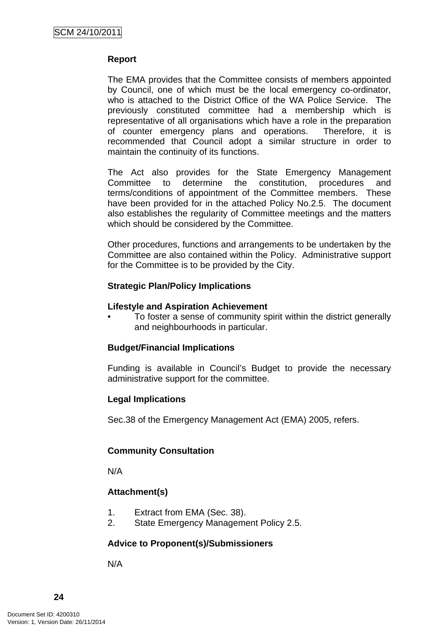#### **Report**

The EMA provides that the Committee consists of members appointed by Council, one of which must be the local emergency co-ordinator, who is attached to the District Office of the WA Police Service. The previously constituted committee had a membership which is representative of all organisations which have a role in the preparation of counter emergency plans and operations. Therefore, it is recommended that Council adopt a similar structure in order to maintain the continuity of its functions.

The Act also provides for the State Emergency Management Committee to determine the constitution, procedures and terms/conditions of appointment of the Committee members. These have been provided for in the attached Policy No.2.5. The document also establishes the regularity of Committee meetings and the matters which should be considered by the Committee.

Other procedures, functions and arrangements to be undertaken by the Committee are also contained within the Policy. Administrative support for the Committee is to be provided by the City.

#### **Strategic Plan/Policy Implications**

#### **Lifestyle and Aspiration Achievement**

• To foster a sense of community spirit within the district generally and neighbourhoods in particular.

#### **Budget/Financial Implications**

Funding is available in Council's Budget to provide the necessary administrative support for the committee.

#### **Legal Implications**

Sec.38 of the Emergency Management Act (EMA) 2005, refers.

#### **Community Consultation**

N/A

#### **Attachment(s)**

- 1. Extract from EMA (Sec. 38).
- 2. State Emergency Management Policy 2.5.

#### **Advice to Proponent(s)/Submissioners**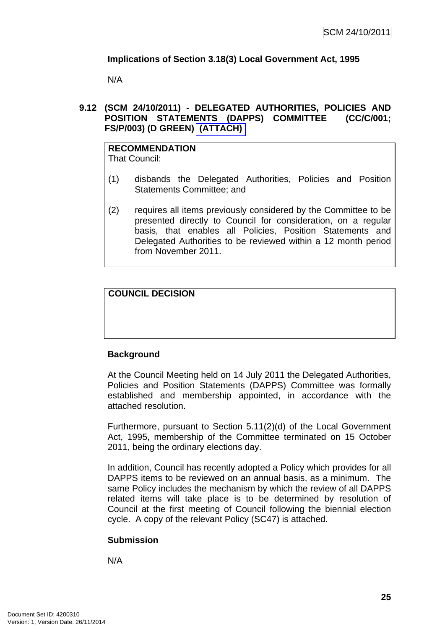## **Implications of Section 3.18(3) Local Government Act, 1995**

N/A

## **9.12 (SCM 24/10/2011) - DELEGATED AUTHORITIES, POLICIES AND POSITION STATEMENTS (DAPPS) COMMITTEE (CC/C/001; FS/P/003) (D GREEN) (ATTACH)**

#### **RECOMMENDATION** That Council:

- (1) disbands the Delegated Authorities, Policies and Position Statements Committee; and
- (2) requires all items previously considered by the Committee to be presented directly to Council for consideration, on a regular basis, that enables all Policies, Position Statements and Delegated Authorities to be reviewed within a 12 month period from November 2011.

## **COUNCIL DECISION**

## **Background**

At the Council Meeting held on 14 July 2011 the Delegated Authorities, Policies and Position Statements (DAPPS) Committee was formally established and membership appointed, in accordance with the attached resolution.

Furthermore, pursuant to Section 5.11(2)(d) of the Local Government Act, 1995, membership of the Committee terminated on 15 October 2011, being the ordinary elections day.

In addition, Council has recently adopted a Policy which provides for all DAPPS items to be reviewed on an annual basis, as a minimum. The same Policy includes the mechanism by which the review of all DAPPS related items will take place is to be determined by resolution of Council at the first meeting of Council following the biennial election cycle. A copy of the relevant Policy (SC47) is attached.

## **Submission**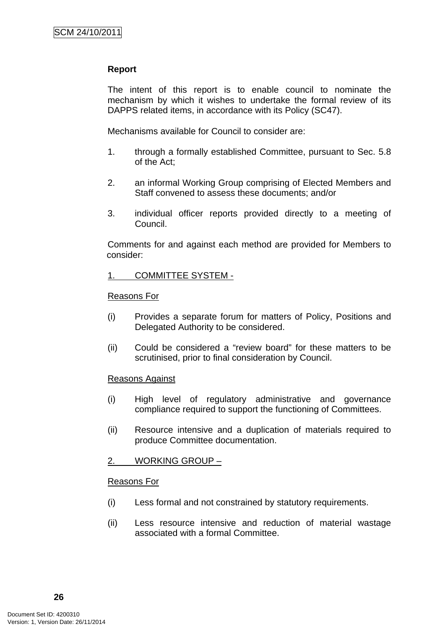## **Report**

The intent of this report is to enable council to nominate the mechanism by which it wishes to undertake the formal review of its DAPPS related items, in accordance with its Policy (SC47).

Mechanisms available for Council to consider are:

- 1. through a formally established Committee, pursuant to Sec. 5.8 of the Act;
- 2. an informal Working Group comprising of Elected Members and Staff convened to assess these documents; and/or
- 3. individual officer reports provided directly to a meeting of Council.

Comments for and against each method are provided for Members to consider:

#### 1. COMMITTEE SYSTEM -

#### Reasons For

- (i) Provides a separate forum for matters of Policy, Positions and Delegated Authority to be considered.
- (ii) Could be considered a "review board" for these matters to be scrutinised, prior to final consideration by Council.

#### Reasons Against

- (i) High level of regulatory administrative and governance compliance required to support the functioning of Committees.
- (ii) Resource intensive and a duplication of materials required to produce Committee documentation.

#### 2. WORKING GROUP –

#### Reasons For

- (i) Less formal and not constrained by statutory requirements.
- (ii) Less resource intensive and reduction of material wastage associated with a formal Committee.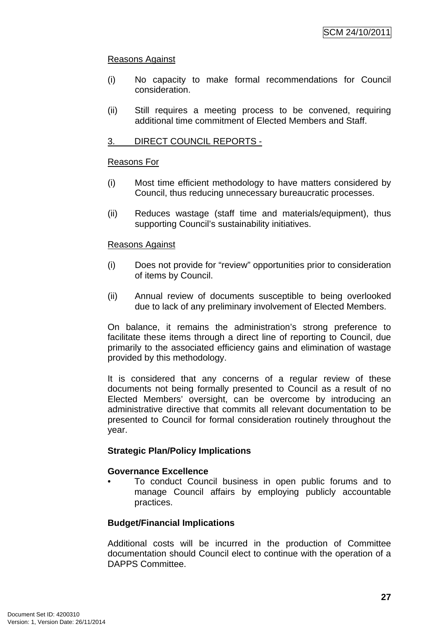## Reasons Against

- (i) No capacity to make formal recommendations for Council consideration.
- (ii) Still requires a meeting process to be convened, requiring additional time commitment of Elected Members and Staff.

## 3. DIRECT COUNCIL REPORTS -

## Reasons For

- (i) Most time efficient methodology to have matters considered by Council, thus reducing unnecessary bureaucratic processes.
- (ii) Reduces wastage (staff time and materials/equipment), thus supporting Council's sustainability initiatives.

#### Reasons Against

- (i) Does not provide for "review" opportunities prior to consideration of items by Council.
- (ii) Annual review of documents susceptible to being overlooked due to lack of any preliminary involvement of Elected Members.

On balance, it remains the administration's strong preference to facilitate these items through a direct line of reporting to Council, due primarily to the associated efficiency gains and elimination of wastage provided by this methodology.

It is considered that any concerns of a regular review of these documents not being formally presented to Council as a result of no Elected Members' oversight, can be overcome by introducing an administrative directive that commits all relevant documentation to be presented to Council for formal consideration routinely throughout the year.

#### **Strategic Plan/Policy Implications**

#### **Governance Excellence**

• To conduct Council business in open public forums and to manage Council affairs by employing publicly accountable practices.

#### **Budget/Financial Implications**

Additional costs will be incurred in the production of Committee documentation should Council elect to continue with the operation of a DAPPS Committee.